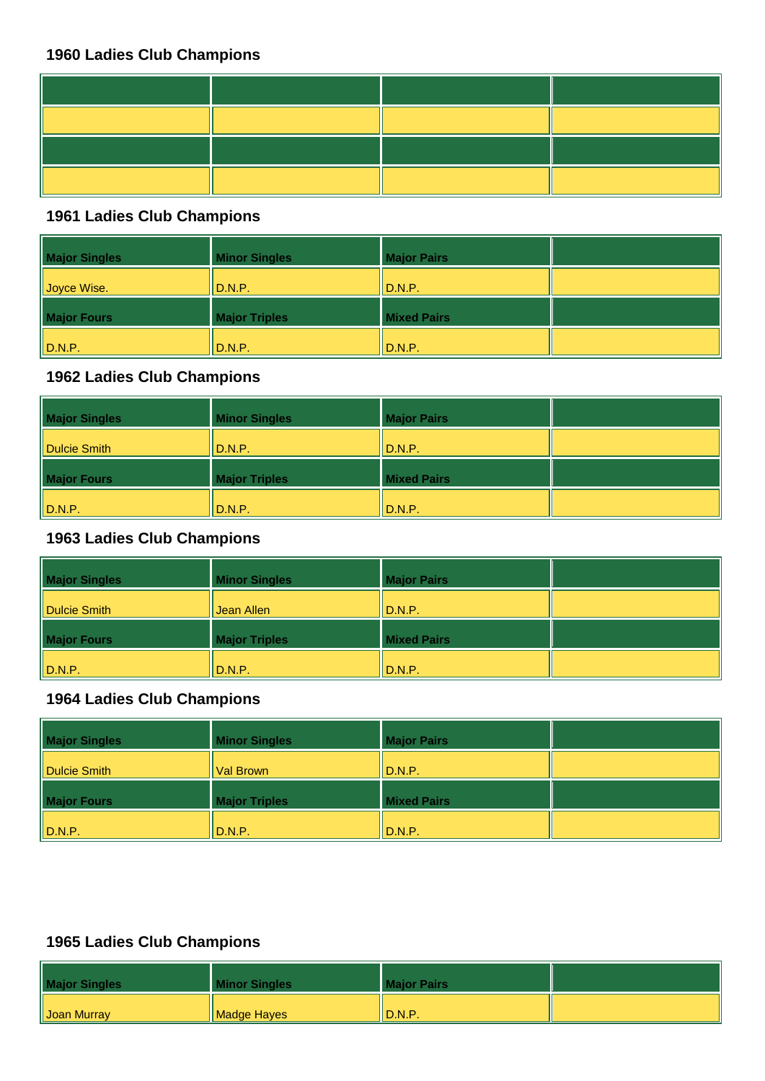#### **1961 Ladies Club Champions**

| <b>Major Singles</b> | <b>Minor Singles</b> | <b>Major Pairs</b> |  |
|----------------------|----------------------|--------------------|--|
| Joyce Wise.          | D.N.P.               | $\ $ D.N.P.        |  |
| <b>Major Fours</b>   | <b>Major Triples</b> | <b>Mixed Pairs</b> |  |
| $\ $ D.N.P.          | D.N.P.               | $\ $ D.N.P.        |  |

## **1962 Ladies Club Champions**

| <b>Major Singles</b> | <b>Minor Singles</b> | <b>Major Pairs</b> |  |
|----------------------|----------------------|--------------------|--|
| Dulcie Smith         | D.N.P.               | $\parallel$ D.N.P. |  |
| <b>Major Fours</b>   | <b>Major Triples</b> | <b>Mixed Pairs</b> |  |
| $\ $ D.N.P.          | D.N.P.               | $\parallel$ D.N.P. |  |

#### **1963 Ladies Club Champions**

| <b>Major Singles</b> | <b>Minor Singles</b> | <b>Major Pairs</b> |  |
|----------------------|----------------------|--------------------|--|
| Dulcie Smith         | Jean Allen           | $\ $ D.N.P.        |  |
| <b>Major Fours</b>   | <b>Major Triples</b> | <b>Mixed Pairs</b> |  |
| $\ $ D.N.P.          | D.N.P.               | $\ $ D.N.P.        |  |

## **1964 Ladies Club Champions**

| <b>Major Singles</b> | <b>Minor Singles</b> | <b>Major Pairs</b> |  |
|----------------------|----------------------|--------------------|--|
| <b>Dulcie Smith</b>  | Val Brown            | II D.N.P.          |  |
| <b>Major Fours</b>   | <b>Major Triples</b> | <b>Mixed Pairs</b> |  |
| $\parallel$ D.N.P.   | D.N.P.               | D.N.P.             |  |

| <b>Major Singles</b> | <b>Minor Singles</b> | <b>Major Pairs</b> |  |
|----------------------|----------------------|--------------------|--|
| <b>Joan Murray</b>   | <b>Madge Hayes</b>   | <b>ID.N.P.</b>     |  |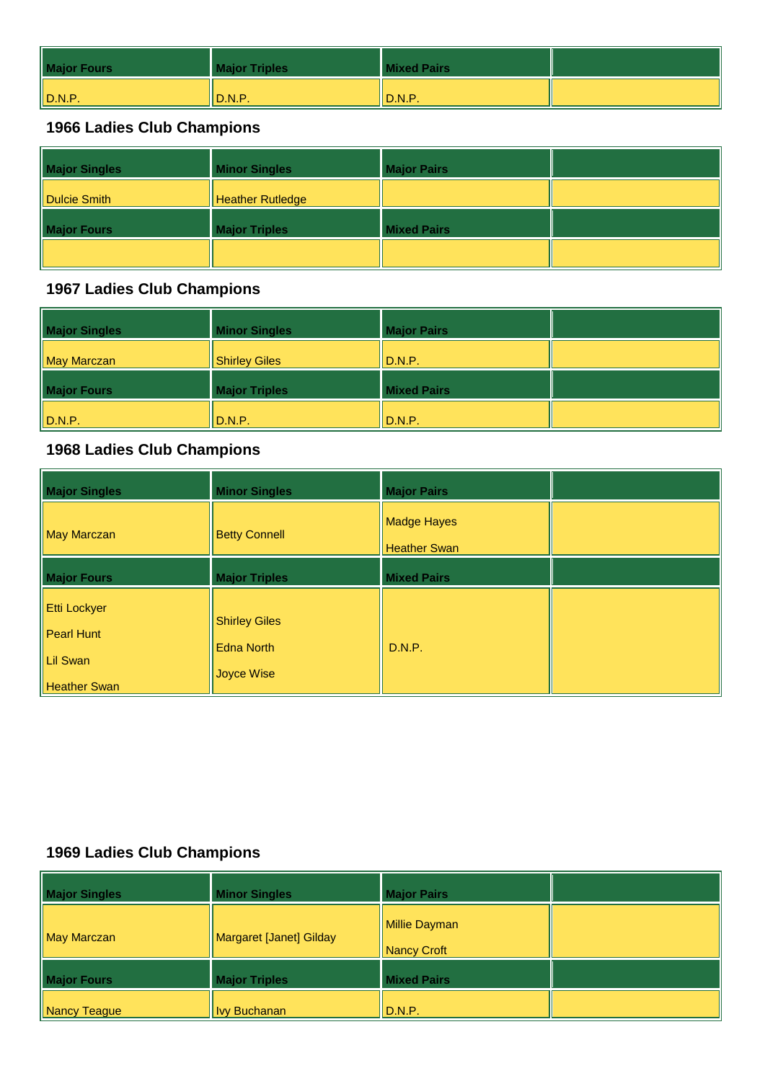| <b>Major Fours</b> | <b>Major Triples</b> | <b>Mixed Pairs</b>                  |  |
|--------------------|----------------------|-------------------------------------|--|
| $\parallel$ D.N.P. | D.N.P.               | $\mathsf{ID}.\mathsf{N}.\mathsf{P}$ |  |

| <b>Major Singles</b> | <b>Minor Singles</b>    | <b>Major Pairs</b> |  |
|----------------------|-------------------------|--------------------|--|
| Dulcie Smith         | <b>Heather Rutledge</b> |                    |  |
| <b>Major Fours</b>   | <b>Major Triples</b>    | <b>Mixed Pairs</b> |  |
|                      |                         |                    |  |

#### **1967 Ladies Club Champions**

| <b>Major Singles</b> | <b>Minor Singles</b> | <b>Major Pairs</b> |  |
|----------------------|----------------------|--------------------|--|
| May Marczan          | <b>Shirley Giles</b> | $\parallel$ D.N.P. |  |
| <b>Major Fours</b>   | <b>Major Triples</b> | <b>Mixed Pairs</b> |  |
| $\ $ D.N.P.          | D.N.P.               | $\parallel$ D.N.P. |  |

## **1968 Ladies Club Champions**

| <b>Major Singles</b>                                                 | <b>Minor Singles</b>                                           | <b>Major Pairs</b>                        |  |
|----------------------------------------------------------------------|----------------------------------------------------------------|-------------------------------------------|--|
| <b>May Marczan</b>                                                   | <b>Betty Connell</b>                                           | <b>Madge Hayes</b><br><b>Heather Swan</b> |  |
| <b>Major Fours</b>                                                   | <b>Major Triples</b>                                           | <b>Mixed Pairs</b>                        |  |
| <b>Etti Lockyer</b><br>Pearl Hunt<br>Lil Swan<br><b>Heather Swan</b> | <b>Shirley Giles</b><br><b>Edna North</b><br><b>Joyce Wise</b> | D.N.P.                                    |  |

| <b>Major Singles</b> | <b>Minor Singles</b>    | <b>Major Pairs</b>                  |  |
|----------------------|-------------------------|-------------------------------------|--|
| May Marczan          | Margaret [Janet] Gilday | <b>Millie Dayman</b><br>Nancy Croft |  |
| <b>Major Fours</b>   | <b>Major Triples</b>    | <b>Mixed Pairs</b>                  |  |
| Nancy Teague         | <b>Ivy Buchanan</b>     | $\parallel$ D.N.P.                  |  |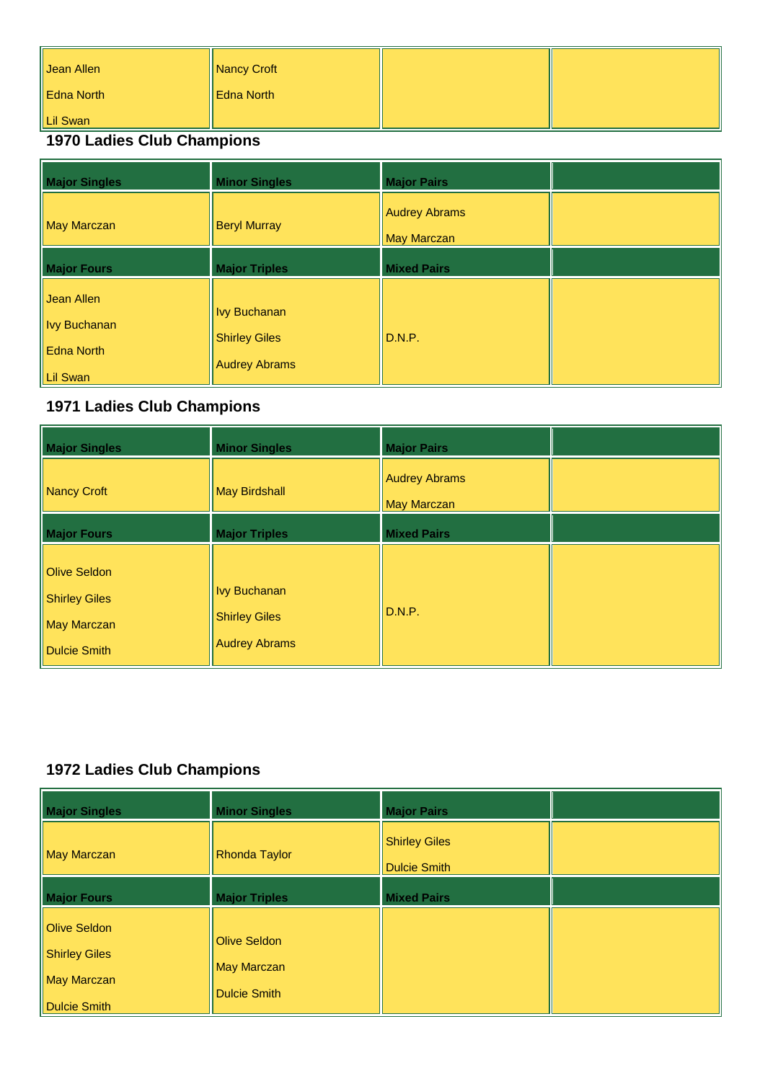| Jean Allen | Nancy Croft |  |
|------------|-------------|--|
| Edna North | Edna North  |  |
| Lil Swan   |             |  |

| <b>Major Singles</b>                                               | <b>Minor Singles</b>                                                | <b>Major Pairs</b>                         |  |
|--------------------------------------------------------------------|---------------------------------------------------------------------|--------------------------------------------|--|
| <b>May Marczan</b>                                                 | <b>Beryl Murray</b>                                                 | <b>Audrey Abrams</b><br><b>May Marczan</b> |  |
| <b>Major Fours</b>                                                 | <b>Major Triples</b>                                                | <b>Mixed Pairs</b>                         |  |
| Jean Allen<br><b>Ivy Buchanan</b><br><b>Edna North</b><br>Lil Swan | <b>Ivy Buchanan</b><br><b>Shirley Giles</b><br><b>Audrey Abrams</b> | D.N.P.                                     |  |

# **1971 Ladies Club Champions**

| <b>Major Singles</b>                                                | <b>Minor Singles</b>                                                | <b>Major Pairs</b>                         |  |
|---------------------------------------------------------------------|---------------------------------------------------------------------|--------------------------------------------|--|
| Nancy Croft                                                         | May Birdshall                                                       | <b>Audrey Abrams</b><br><b>May Marczan</b> |  |
| <b>Major Fours</b>                                                  | <b>Major Triples</b>                                                | <b>Mixed Pairs</b>                         |  |
| Olive Seldon<br><b>Shirley Giles</b><br>May Marczan<br>Dulcie Smith | <b>Ivy Buchanan</b><br><b>Shirley Giles</b><br><b>Audrey Abrams</b> | D.N.P.                                     |  |

| <b>Major Singles</b>                                                                     | <b>Minor Singles</b>                                             | <b>Major Pairs</b>                          |  |
|------------------------------------------------------------------------------------------|------------------------------------------------------------------|---------------------------------------------|--|
| <b>May Marczan</b>                                                                       | <b>Rhonda Taylor</b>                                             | <b>Shirley Giles</b><br><b>Dulcie Smith</b> |  |
| <b>Major Fours</b>                                                                       | <b>Major Triples</b>                                             | <b>Mixed Pairs</b>                          |  |
| <b>Olive Seldon</b><br><b>Shirley Giles</b><br><b>May Marczan</b><br><b>Dulcie Smith</b> | <b>Olive Seldon</b><br><b>May Marczan</b><br><b>Dulcie Smith</b> |                                             |  |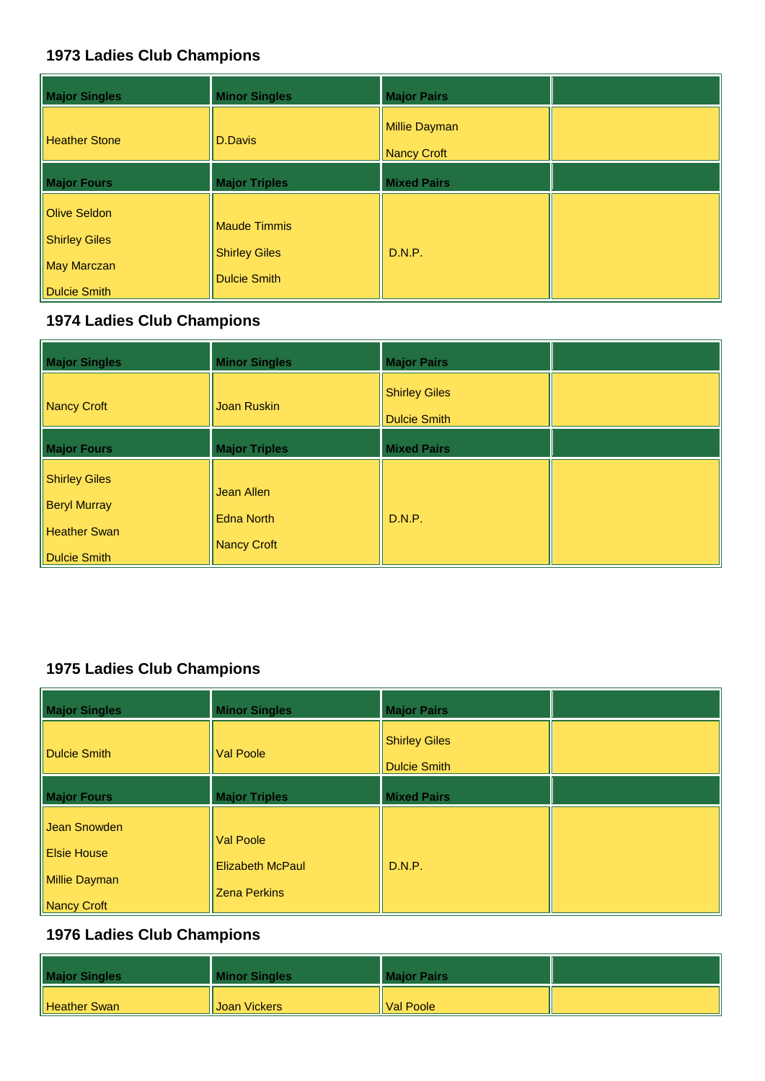| <b>Major Singles</b>                                                                     | <b>Minor Singles</b>                                               | <b>Major Pairs</b>           |  |
|------------------------------------------------------------------------------------------|--------------------------------------------------------------------|------------------------------|--|
| <b>Heather Stone</b>                                                                     | <b>D.Davis</b>                                                     | Millie Dayman<br>Nancy Croft |  |
| <b>Major Fours</b>                                                                       | <b>Major Triples</b>                                               | <b>Mixed Pairs</b>           |  |
| <b>Olive Seldon</b><br><b>Shirley Giles</b><br><b>May Marczan</b><br><b>Dulcie Smith</b> | <b>Maude Timmis</b><br><b>Shirley Giles</b><br><b>Dulcie Smith</b> | D.N.P.                       |  |

## **1974 Ladies Club Champions**

| <b>Major Singles</b>                                                 | <b>Minor Singles</b>                           | <b>Major Pairs</b>                          |  |
|----------------------------------------------------------------------|------------------------------------------------|---------------------------------------------|--|
| Nancy Croft                                                          | <b>Joan Ruskin</b>                             | <b>Shirley Giles</b><br><b>Dulcie Smith</b> |  |
| <b>Major Fours</b>                                                   | <b>Major Triples</b>                           | <b>Mixed Pairs</b>                          |  |
| Shirley Giles<br><b>Beryl Murray</b><br>Heather Swan<br>Dulcie Smith | Jean Allen<br><b>Edna North</b><br>Nancy Croft | D.N.P.                                      |  |

# **1975 Ladies Club Champions**

| <b>Major Singles</b>                                               | <b>Minor Singles</b>                                               | <b>Major Pairs</b>                   |  |
|--------------------------------------------------------------------|--------------------------------------------------------------------|--------------------------------------|--|
| <b>Dulcie Smith</b>                                                | <b>Val Poole</b>                                                   | <b>Shirley Giles</b><br>Dulcie Smith |  |
| <b>Major Fours</b>                                                 | <b>Major Triples</b>                                               | <b>Mixed Pairs</b>                   |  |
| Jean Snowden<br><b>Elsie House</b><br>Millie Dayman<br>Nancy Croft | <b>Val Poole</b><br><b>Elizabeth McPaul</b><br><b>Zena Perkins</b> | D.N.P.                               |  |

| <b>Major Singles</b> | <b>Minor Singles</b> | <b>Major Pairs</b> |  |
|----------------------|----------------------|--------------------|--|
| Heather Swan         | Joan Vickers         | Il Val Poole       |  |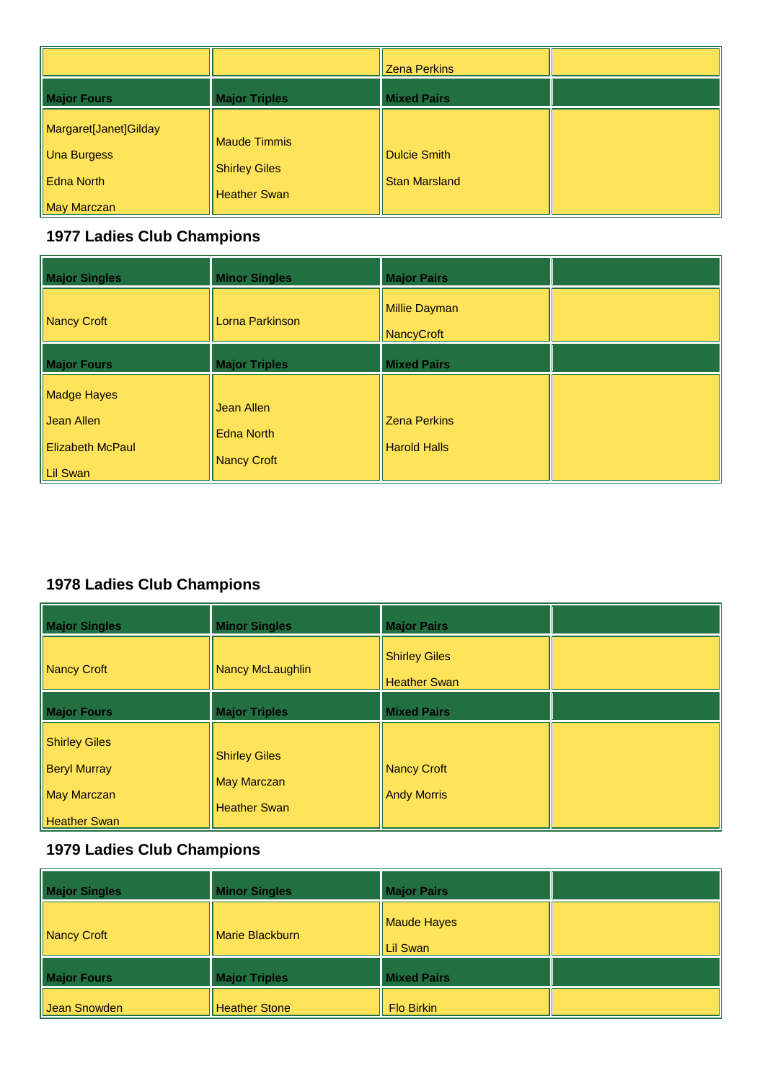|                                                                          |                                                             | <b>Zena Perkins</b>                  |  |
|--------------------------------------------------------------------------|-------------------------------------------------------------|--------------------------------------|--|
| <b>Major Fours</b>                                                       | <b>Major Triples</b>                                        | <b>Mixed Pairs</b>                   |  |
| Margaret[Janet]Gilday<br>Una Burgess<br><b>Edna North</b><br>May Marczan | Maude Timmis<br><b>Shirley Giles</b><br><b>Heather Swan</b> | Dulcie Smith<br><b>Stan Marsland</b> |  |

| <b>Major Singles</b>                                    | <b>Minor Singles</b>                                  | <b>Major Pairs</b>                         |  |
|---------------------------------------------------------|-------------------------------------------------------|--------------------------------------------|--|
| Nancy Croft                                             | Lorna Parkinson                                       | Millie Dayman<br>NancyCroft                |  |
| <b>Major Fours</b>                                      | <b>Major Triples</b>                                  | <b>Mixed Pairs</b>                         |  |
| Madge Hayes<br>Il Jean Allen<br><b>Elizabeth McPaul</b> | <b>Jean Allen</b><br><b>Edna North</b><br>Nancy Croft | <b>Zena Perkins</b><br><b>Harold Halls</b> |  |
| Lil Swan                                                |                                                       |                                            |  |

## **1978 Ladies Club Champions**

| <b>Major Singles</b>                                                                     | <b>Minor Singles</b>                                              | <b>Major Pairs</b>                          |  |
|------------------------------------------------------------------------------------------|-------------------------------------------------------------------|---------------------------------------------|--|
| <b>Nancy Croft</b>                                                                       | Nancy McLaughlin                                                  | <b>Shirley Giles</b><br><b>Heather Swan</b> |  |
| <b>Major Fours</b>                                                                       | <b>Major Triples</b>                                              | <b>Mixed Pairs</b>                          |  |
| <b>Shirley Giles</b><br><b>Beryl Murray</b><br><b>May Marczan</b><br><b>Heather Swan</b> | <b>Shirley Giles</b><br><b>May Marczan</b><br><b>Heather Swan</b> | Nancy Croft<br><b>Andy Morris</b>           |  |

| <b>Major Singles</b> | <b>Minor Singles</b> | <b>Major Pairs</b>      |  |
|----------------------|----------------------|-------------------------|--|
| Nancy Croft          | Marie Blackburn      | Maude Hayes<br>Lil Swan |  |
| <b>Major Fours</b>   | <b>Major Triples</b> | <b>Mixed Pairs</b>      |  |
| Jean Snowden         | <b>Heather Stone</b> | <b>Flo Birkin</b>       |  |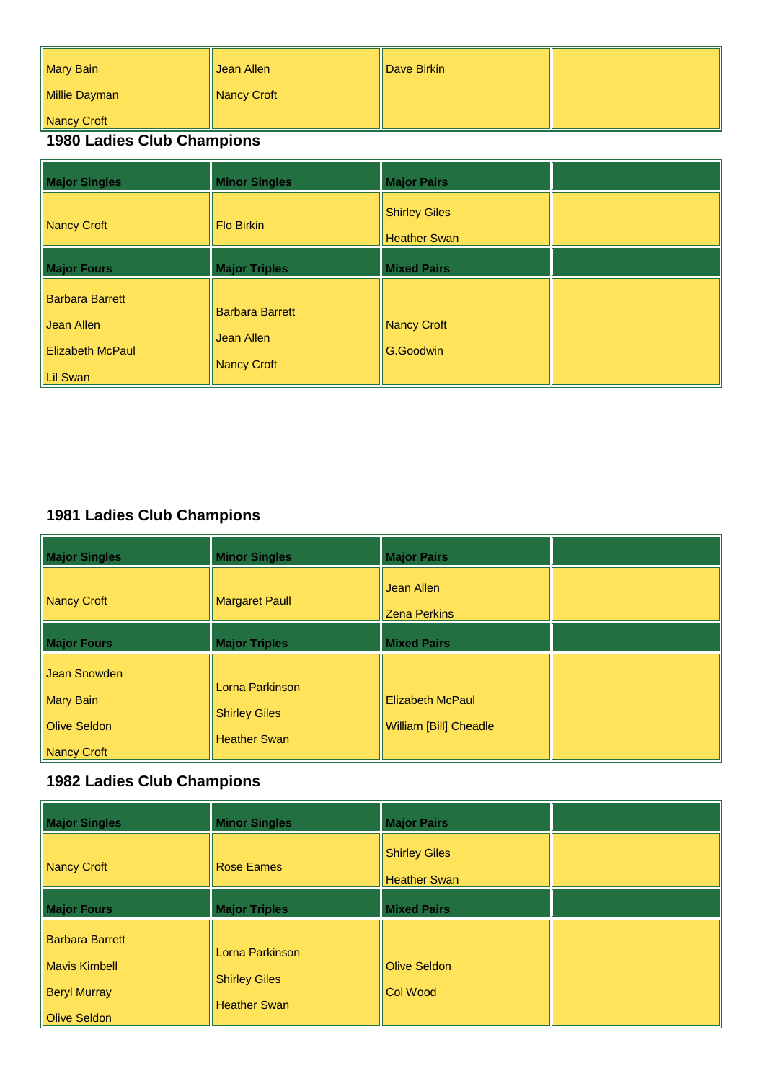| Mary Bain     | Uean Allen  | <b>Dave Birkin</b> |  |
|---------------|-------------|--------------------|--|
| Millie Dayman | Nancy Croft |                    |  |
| Nancy Croft   |             |                    |  |

| <b>Major Singles</b>                                                           | <b>Minor Singles</b>                                       | <b>Major Pairs</b>                   |  |
|--------------------------------------------------------------------------------|------------------------------------------------------------|--------------------------------------|--|
| Nancy Croft                                                                    | <b>Flo Birkin</b>                                          | <b>Shirley Giles</b><br>Heather Swan |  |
| <b>Major Fours</b>                                                             | <b>Major Triples</b>                                       | <b>Mixed Pairs</b>                   |  |
| <b>Barbara Barrett</b><br>Il Jean Allen<br><b>Elizabeth McPaul</b><br>Lil Swan | <b>Barbara Barrett</b><br>Jean Allen<br><b>Nancy Croft</b> | Nancy Croft<br>G.Goodwin             |  |

## **1981 Ladies Club Champions**

| <b>Major Singles</b>                                                   | <b>Minor Singles</b>                                           | <b>Major Pairs</b>                                       |  |
|------------------------------------------------------------------------|----------------------------------------------------------------|----------------------------------------------------------|--|
| Nancy Croft                                                            | <b>Margaret Paull</b>                                          | <b>Jean Allen</b><br><b>Zena Perkins</b>                 |  |
| <b>Major Fours</b>                                                     | <b>Major Triples</b>                                           | <b>Mixed Pairs</b>                                       |  |
| Jean Snowden<br><b>Mary Bain</b><br><b>Olive Seldon</b><br>Nancy Croft | Lorna Parkinson<br><b>Shirley Giles</b><br><b>Heather Swan</b> | <b>Elizabeth McPaul</b><br><b>William [Bill] Cheadle</b> |  |

| <b>Major Singles</b>                                                                  | <b>Minor Singles</b>                                           | <b>Major Pairs</b>                          |  |
|---------------------------------------------------------------------------------------|----------------------------------------------------------------|---------------------------------------------|--|
| Nancy Croft                                                                           | <b>Rose Eames</b>                                              | <b>Shirley Giles</b><br><b>Heather Swan</b> |  |
| <b>Major Fours</b>                                                                    | <b>Major Triples</b>                                           | <b>Mixed Pairs</b>                          |  |
| <b>Barbara Barrett</b><br><b>Mavis Kimbell</b><br><b>Beryl Murray</b><br>Olive Seldon | Lorna Parkinson<br><b>Shirley Giles</b><br><b>Heather Swan</b> | <b>Olive Seldon</b><br>Col Wood             |  |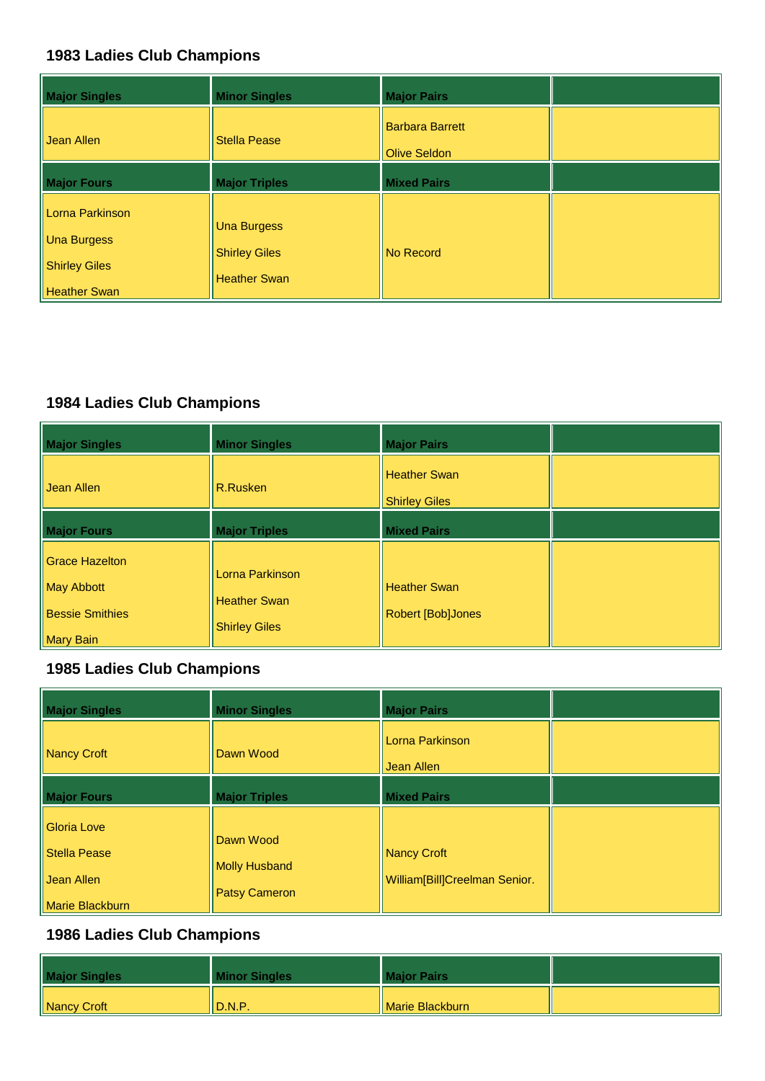| <b>Major Singles</b>                                                                 | <b>Minor Singles</b>                                              | <b>Major Pairs</b>                            |  |
|--------------------------------------------------------------------------------------|-------------------------------------------------------------------|-----------------------------------------------|--|
| Jean Allen                                                                           | <b>Stella Pease</b>                                               | <b>Barbara Barrett</b><br><b>Olive Seldon</b> |  |
| <b>Major Fours</b>                                                                   | <b>Major Triples</b>                                              | <b>Mixed Pairs</b>                            |  |
| Lorna Parkinson<br><b>Una Burgess</b><br><b>Shirley Giles</b><br><b>Heather Swan</b> | <b>Una Burgess</b><br><b>Shirley Giles</b><br><b>Heather Swan</b> | No Record                                     |  |

## **1984 Ladies Club Champions**

| <b>Major Singles</b>                                                       | <b>Minor Singles</b>                                           | <b>Major Pairs</b>                       |  |
|----------------------------------------------------------------------------|----------------------------------------------------------------|------------------------------------------|--|
| Uean Allen                                                                 | R.Rusken                                                       | Heather Swan<br><b>Shirley Giles</b>     |  |
| <b>Major Fours</b>                                                         | <b>Major Triples</b>                                           | <b>Mixed Pairs</b>                       |  |
| <b>Grace Hazelton</b><br>May Abbott<br><b>Bessie Smithies</b><br>Mary Bain | Lorna Parkinson<br><b>Heather Swan</b><br><b>Shirley Giles</b> | <b>Heather Swan</b><br>Robert [Bob]Jones |  |

#### **1985 Ladies Club Champions**

| <b>Major Singles</b>                      | <b>Minor Singles</b>              | <b>Major Pairs</b>            |  |
|-------------------------------------------|-----------------------------------|-------------------------------|--|
| <b>Nancy Croft</b>                        | Dawn Wood                         | Lorna Parkinson<br>Jean Allen |  |
| <b>Major Fours</b>                        | <b>Major Triples</b>              | <b>Mixed Pairs</b>            |  |
| <b>Gloria Love</b><br><b>Stella Pease</b> | Dawn Wood<br><b>Molly Husband</b> | Nancy Croft                   |  |
| Jean Allen<br>Marie Blackburn             | <b>Patsy Cameron</b>              | William[Bill]Creelman Senior. |  |

| <b>Major Singles</b> | <b>Minor Singles</b> | <b>Major Pairs</b> |  |
|----------------------|----------------------|--------------------|--|
| Nancy Croft          | D.N.P.               | Marie Blackburn    |  |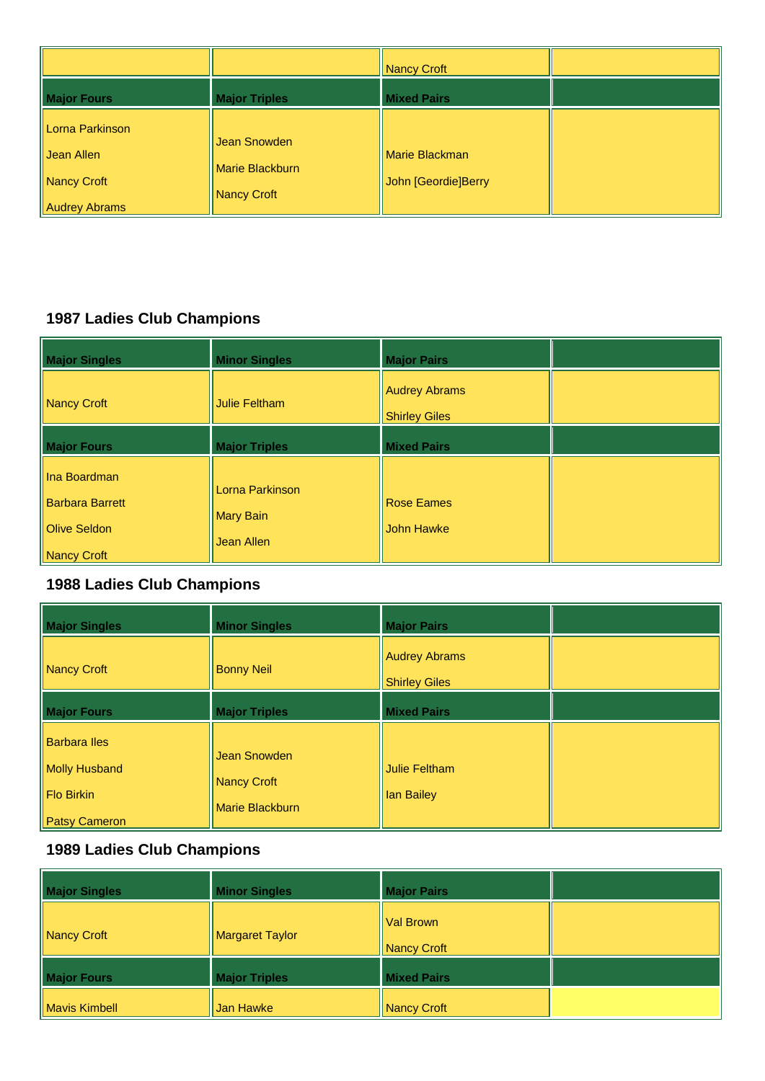|                                                                      |                                                | Nancy Croft                                  |  |
|----------------------------------------------------------------------|------------------------------------------------|----------------------------------------------|--|
| <b>Major Fours</b>                                                   | <b>Major Triples</b>                           | <b>Mixed Pairs</b>                           |  |
| Lorna Parkinson<br>Jean Allen<br>Nancy Croft<br><b>Audrey Abrams</b> | Jean Snowden<br>Marie Blackburn<br>Nancy Croft | <b>Marie Blackman</b><br>John [Geordie]Berry |  |

| <b>Major Singles</b>                                                         | <b>Minor Singles</b>                              | <b>Major Pairs</b>                           |  |
|------------------------------------------------------------------------------|---------------------------------------------------|----------------------------------------------|--|
| Nancy Croft                                                                  | <b>Julie Feltham</b>                              | <b>Audrey Abrams</b><br><b>Shirley Giles</b> |  |
| <b>Major Fours</b>                                                           | <b>Major Triples</b>                              | <b>Mixed Pairs</b>                           |  |
| Ina Boardman<br><b>Barbara Barrett</b><br><b>Olive Seldon</b><br>Nancy Croft | Lorna Parkinson<br><b>Mary Bain</b><br>Jean Allen | <b>Rose Eames</b><br><b>John Hawke</b>       |  |

## **1988 Ladies Club Champions**

| <b>Major Singles</b>                                                       | <b>Minor Singles</b>                           | <b>Major Pairs</b>                           |  |
|----------------------------------------------------------------------------|------------------------------------------------|----------------------------------------------|--|
| Nancy Croft                                                                | <b>Bonny Neil</b>                              | <b>Audrey Abrams</b><br><b>Shirley Giles</b> |  |
| <b>Major Fours</b>                                                         | <b>Major Triples</b>                           | <b>Mixed Pairs</b>                           |  |
| <b>Barbara lles</b><br>Molly Husband<br>Flo Birkin<br><b>Patsy Cameron</b> | Jean Snowden<br>Nancy Croft<br>Marie Blackburn | Julie Feltham<br><b>Ian Bailey</b>           |  |

| <b>Major Singles</b> | <b>Minor Singles</b>   | <b>Major Pairs</b>          |  |
|----------------------|------------------------|-----------------------------|--|
| Nancy Croft          | <b>Margaret Taylor</b> | Il Val Brown<br>Nancy Croft |  |
| <b>Major Fours</b>   | <b>Major Triples</b>   | <b>Mixed Pairs</b>          |  |
| Mavis Kimbell        | Jan Hawke              | Nancy Croft                 |  |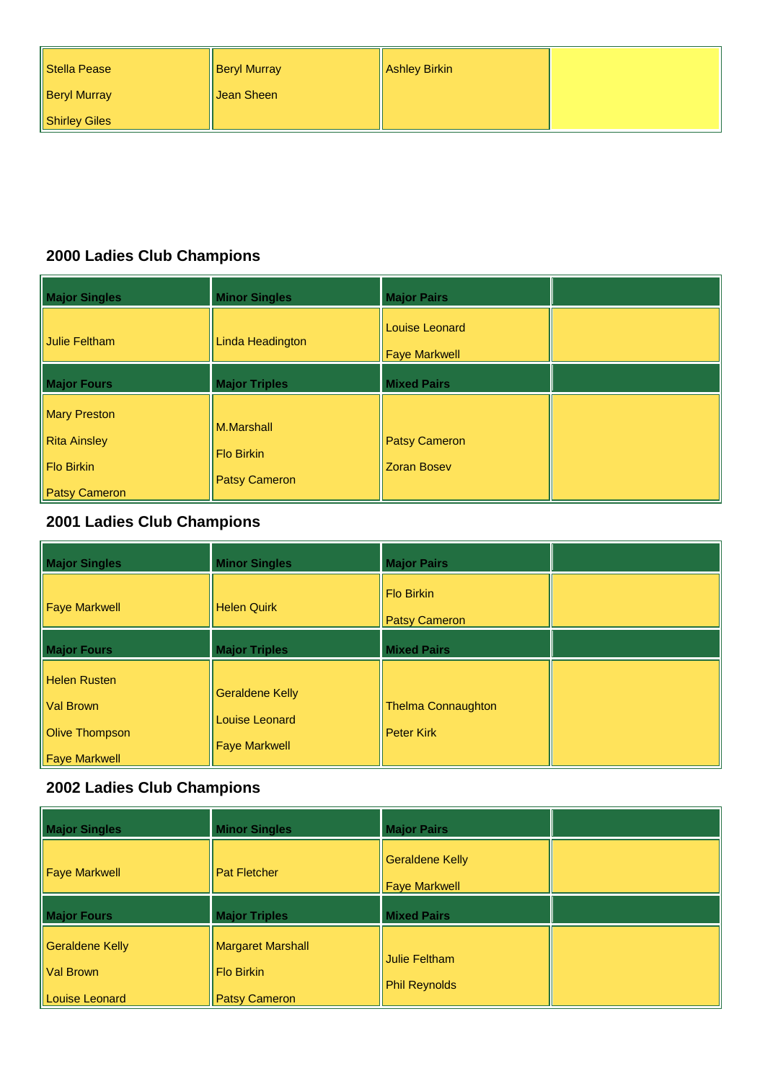| Stella Pease        | <b>Beryl Murray</b> | Ashley Birkin |  |
|---------------------|---------------------|---------------|--|
| <b>Beryl Murray</b> | ∥Jean Sheen         |               |  |
| Shirley Giles       |                     |               |  |

| <b>Major Singles</b>                                                                    | <b>Minor Singles</b>                                    | <b>Major Pairs</b>                         |  |
|-----------------------------------------------------------------------------------------|---------------------------------------------------------|--------------------------------------------|--|
| Julie Feltham                                                                           | Linda Headington                                        | Louise Leonard<br><b>Faye Markwell</b>     |  |
| <b>Major Fours</b>                                                                      | <b>Major Triples</b>                                    | <b>Mixed Pairs</b>                         |  |
| <b>Mary Preston</b><br><b>Rita Ainsley</b><br><b>Flo Birkin</b><br><b>Patsy Cameron</b> | M.Marshall<br><b>Flo Birkin</b><br><b>Patsy Cameron</b> | <b>Patsy Cameron</b><br><b>Zoran Bosev</b> |  |

# **2001 Ladies Club Champions**

| <b>Major Singles</b>                                                                     | <b>Minor Singles</b>                                                    | <b>Major Pairs</b>                             |  |
|------------------------------------------------------------------------------------------|-------------------------------------------------------------------------|------------------------------------------------|--|
| <b>Faye Markwell</b>                                                                     | <b>Helen Quirk</b>                                                      | <b>Flo Birkin</b><br><b>Patsy Cameron</b>      |  |
| <b>Major Fours</b>                                                                       | <b>Major Triples</b>                                                    | <b>Mixed Pairs</b>                             |  |
| <b>Helen Rusten</b><br><b>Val Brown</b><br><b>Olive Thompson</b><br><b>Faye Markwell</b> | <b>Geraldene Kelly</b><br><b>Louise Leonard</b><br><b>Faye Markwell</b> | <b>Thelma Connaughton</b><br><b>Peter Kirk</b> |  |

| <b>Major Singles</b>                                                | <b>Minor Singles</b>                                                  | <b>Major Pairs</b>                             |  |
|---------------------------------------------------------------------|-----------------------------------------------------------------------|------------------------------------------------|--|
| <b>Faye Markwell</b>                                                | <b>Pat Fletcher</b>                                                   | <b>Geraldene Kelly</b><br><b>Faye Markwell</b> |  |
| <b>Major Fours</b>                                                  | <b>Major Triples</b>                                                  | <b>Mixed Pairs</b>                             |  |
| <b>Geraldene Kelly</b><br><b>Val Brown</b><br><b>Louise Leonard</b> | <b>Margaret Marshall</b><br><b>Flo Birkin</b><br><b>Patsy Cameron</b> | Julie Feltham<br><b>Phil Reynolds</b>          |  |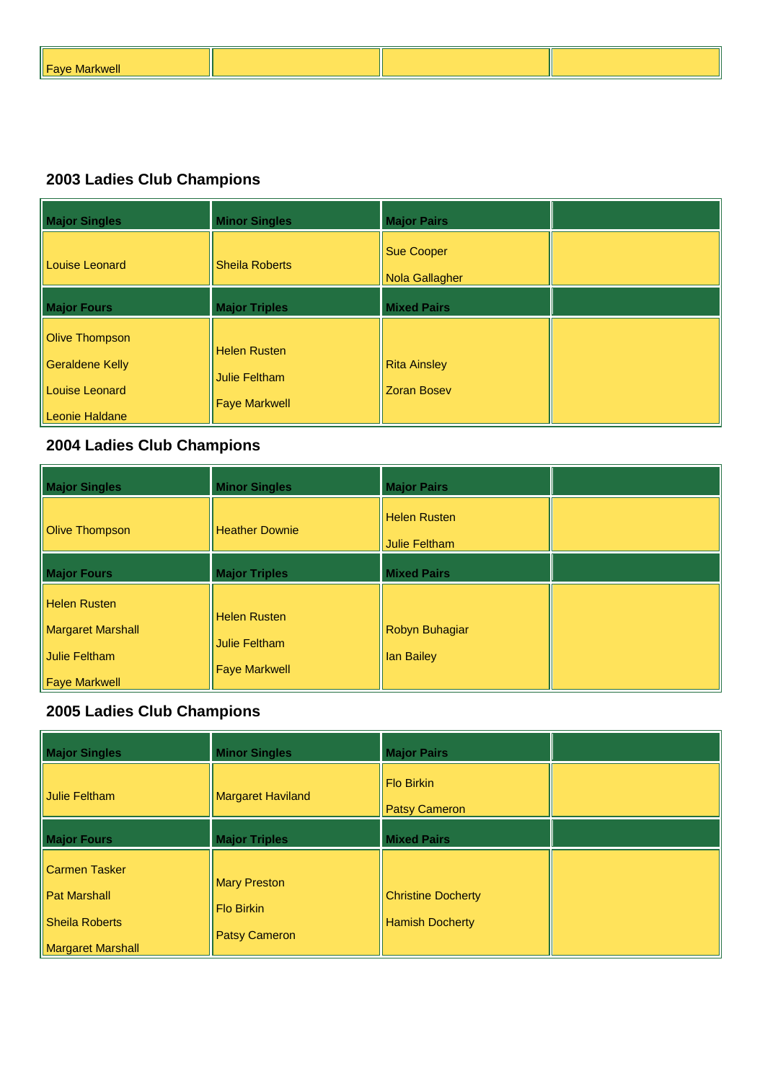| <b>Fave Markwell</b><br>. . |  |  |
|-----------------------------|--|--|
|                             |  |  |

| <b>Major Singles</b>                                                                | <b>Minor Singles</b>                                                | <b>Major Pairs</b>                         |  |
|-------------------------------------------------------------------------------------|---------------------------------------------------------------------|--------------------------------------------|--|
| Louise Leonard                                                                      | <b>Sheila Roberts</b>                                               | <b>Sue Cooper</b><br><b>Nola Gallagher</b> |  |
| <b>Major Fours</b>                                                                  | <b>Major Triples</b>                                                | <b>Mixed Pairs</b>                         |  |
| <b>Olive Thompson</b><br><b>Geraldene Kelly</b><br>Louise Leonard<br>Leonie Haldane | <b>Helen Rusten</b><br><b>Julie Feltham</b><br><b>Faye Markwell</b> | <b>Rita Ainsley</b><br><b>Zoran Bosev</b>  |  |

# **2004 Ladies Club Champions**

| <b>Major Singles</b>                                                                     | <b>Minor Singles</b>                                                | <b>Major Pairs</b>                   |  |
|------------------------------------------------------------------------------------------|---------------------------------------------------------------------|--------------------------------------|--|
| <b>Olive Thompson</b>                                                                    | <b>Heather Downie</b>                                               | <b>Helen Rusten</b><br>Julie Feltham |  |
| <b>Major Fours</b>                                                                       | <b>Major Triples</b>                                                | <b>Mixed Pairs</b>                   |  |
| <b>Helen Rusten</b><br><b>Margaret Marshall</b><br>Julie Feltham<br><b>Faye Markwell</b> | <b>Helen Rusten</b><br><b>Julie Feltham</b><br><b>Faye Markwell</b> | Robyn Buhagiar<br>Ian Bailey         |  |

| <b>Major Singles</b>                                                                             | <b>Minor Singles</b>                                             | <b>Major Pairs</b>                                  |  |
|--------------------------------------------------------------------------------------------------|------------------------------------------------------------------|-----------------------------------------------------|--|
| Julie Feltham                                                                                    | <b>Margaret Haviland</b>                                         | <b>Flo Birkin</b><br><b>Patsy Cameron</b>           |  |
| <b>Major Fours</b>                                                                               | <b>Major Triples</b>                                             | <b>Mixed Pairs</b>                                  |  |
| <b>Carmen Tasker</b><br><b>Pat Marshall</b><br><b>Sheila Roberts</b><br><b>Margaret Marshall</b> | <b>Mary Preston</b><br><b>Flo Birkin</b><br><b>Patsy Cameron</b> | <b>Christine Docherty</b><br><b>Hamish Docherty</b> |  |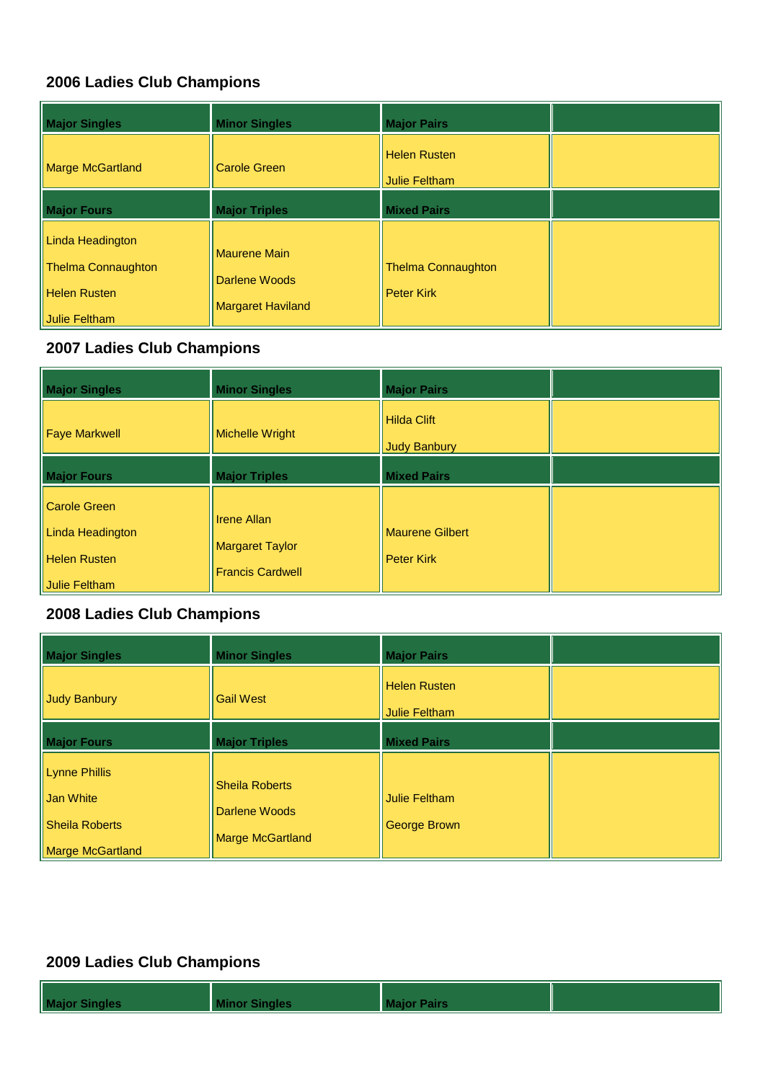| <b>Major Singles</b>                                                 | <b>Minor Singles</b>                                             | <b>Major Pairs</b>                             |  |
|----------------------------------------------------------------------|------------------------------------------------------------------|------------------------------------------------|--|
| <b>Marge McGartland</b>                                              | <b>Carole Green</b>                                              | <b>Helen Rusten</b><br>Julie Feltham           |  |
| <b>Major Fours</b>                                                   | <b>Major Triples</b>                                             | <b>Mixed Pairs</b>                             |  |
| Linda Headington<br><b>Thelma Connaughton</b><br><b>Helen Rusten</b> | <b>Maurene Main</b><br>Darlene Woods<br><b>Margaret Haviland</b> | <b>Thelma Connaughton</b><br><b>Peter Kirk</b> |  |
| Julie Feltham                                                        |                                                                  |                                                |  |

## **2007 Ladies Club Champions**

| <b>Major Singles</b>                                                  | <b>Minor Singles</b>                                                    | <b>Major Pairs</b>                          |  |
|-----------------------------------------------------------------------|-------------------------------------------------------------------------|---------------------------------------------|--|
| <b>Faye Markwell</b>                                                  | <b>Michelle Wright</b>                                                  | Hilda Clift<br><b>Judy Banbury</b>          |  |
| <b>Major Fours</b>                                                    | <b>Major Triples</b>                                                    | <b>Mixed Pairs</b>                          |  |
| <b>Carole Green</b><br><b>Linda Headington</b><br><b>Helen Rusten</b> | <b>Irene Allan</b><br><b>Margaret Taylor</b><br><b>Francis Cardwell</b> | <b>Maurene Gilbert</b><br><b>Peter Kirk</b> |  |
| Julie Feltham                                                         |                                                                         |                                             |  |

## **2008 Ladies Club Champions**

| <b>Major Singles</b>                                                    | <b>Minor Singles</b>                                              | <b>Major Pairs</b>                   |  |
|-------------------------------------------------------------------------|-------------------------------------------------------------------|--------------------------------------|--|
| Judy Banbury                                                            | <b>Gail West</b>                                                  | <b>Helen Rusten</b><br>Julie Feltham |  |
| <b>Major Fours</b>                                                      | <b>Major Triples</b>                                              | <b>Mixed Pairs</b>                   |  |
| <b>Lynne Phillis</b><br>Jan White<br>Sheila Roberts<br>Marge McGartland | <b>Sheila Roberts</b><br>Darlene Woods<br><b>Marge McGartland</b> | <b>Julie Feltham</b><br>George Brown |  |

| <b>Major Singles</b> |  |  |
|----------------------|--|--|
|                      |  |  |
|                      |  |  |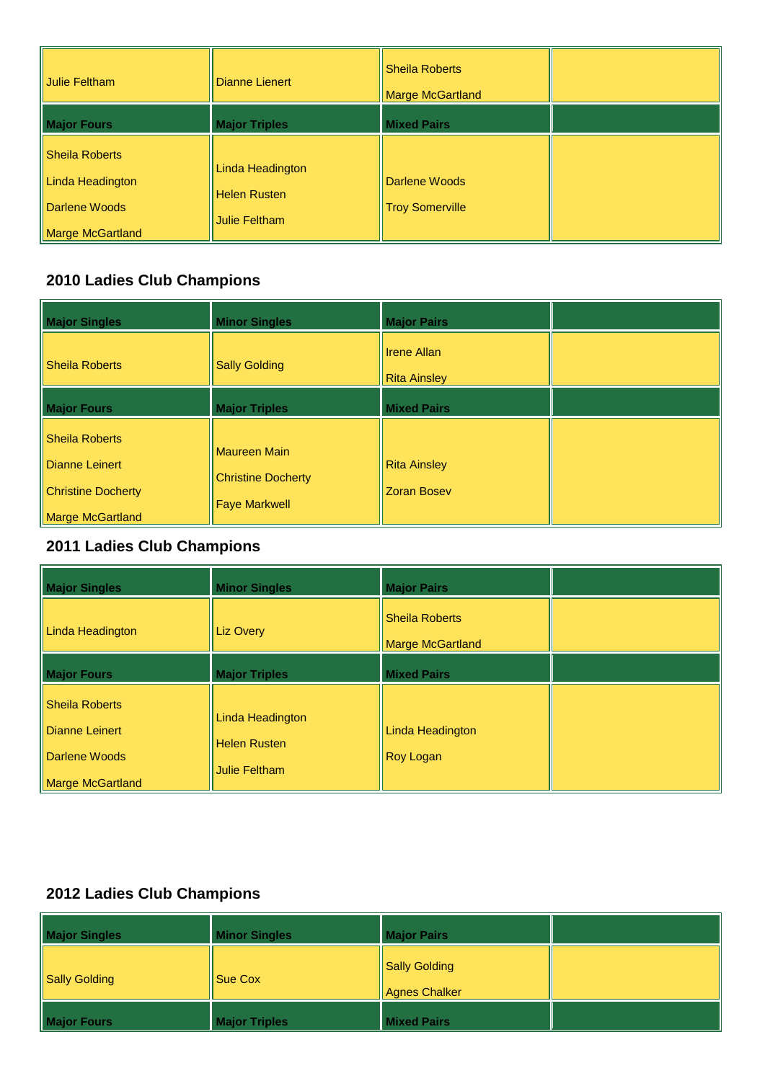| Julie Feltham                                                           | Dianne Lienert                                                  | <b>Sheila Roberts</b><br><b>Marge McGartland</b> |  |
|-------------------------------------------------------------------------|-----------------------------------------------------------------|--------------------------------------------------|--|
| <b>Major Fours</b>                                                      | <b>Major Triples</b>                                            | <b>Mixed Pairs</b>                               |  |
| Sheila Roberts<br>Linda Headington<br>Darlene Woods<br>Marge McGartland | Linda Headington<br><b>Helen Rusten</b><br><b>Julie Feltham</b> | Darlene Woods<br><b>Troy Somerville</b>          |  |

| <b>Major Singles</b>                                                                                   | <b>Minor Singles</b>                                              | <b>Major Pairs</b>                        |  |
|--------------------------------------------------------------------------------------------------------|-------------------------------------------------------------------|-------------------------------------------|--|
| <b>Sheila Roberts</b>                                                                                  | <b>Sally Golding</b>                                              | Il Irene Allan<br><b>Rita Ainsley</b>     |  |
| <b>Major Fours</b>                                                                                     | <b>Major Triples</b>                                              | <b>Mixed Pairs</b>                        |  |
| <b>Sheila Roberts</b><br><b>Dianne Leinert</b><br><b>Christine Docherty</b><br><b>Marge McGartland</b> | Maureen Main<br><b>Christine Docherty</b><br><b>Faye Markwell</b> | <b>Rita Ainsley</b><br><b>Zoran Bosev</b> |  |

# **2011 Ladies Club Champions**

| <b>Major Singles</b>                                                         | <b>Minor Singles</b>                                            | <b>Major Pairs</b>                               |  |
|------------------------------------------------------------------------------|-----------------------------------------------------------------|--------------------------------------------------|--|
| Linda Headington                                                             | <b>Liz Overy</b>                                                | <b>Sheila Roberts</b><br><b>Marge McGartland</b> |  |
| <b>Major Fours</b>                                                           | <b>Major Triples</b>                                            | <b>Mixed Pairs</b>                               |  |
| <b>Sheila Roberts</b><br>Dianne Leinert<br>Darlene Woods<br>Marge McGartland | Linda Headington<br><b>Helen Rusten</b><br><b>Julie Feltham</b> | <b>Linda Headington</b><br><b>Roy Logan</b>      |  |

| <b>Major Singles</b> | <b>Minor Singles</b> | <b>Major Pairs</b>                           |  |
|----------------------|----------------------|----------------------------------------------|--|
| Sally Golding        | <b>Sue Cox</b>       | <b>Sally Golding</b><br><b>Agnes Chalker</b> |  |
| <b>Major Fours</b>   | <b>Major Triples</b> | <b>Mixed Pairs</b>                           |  |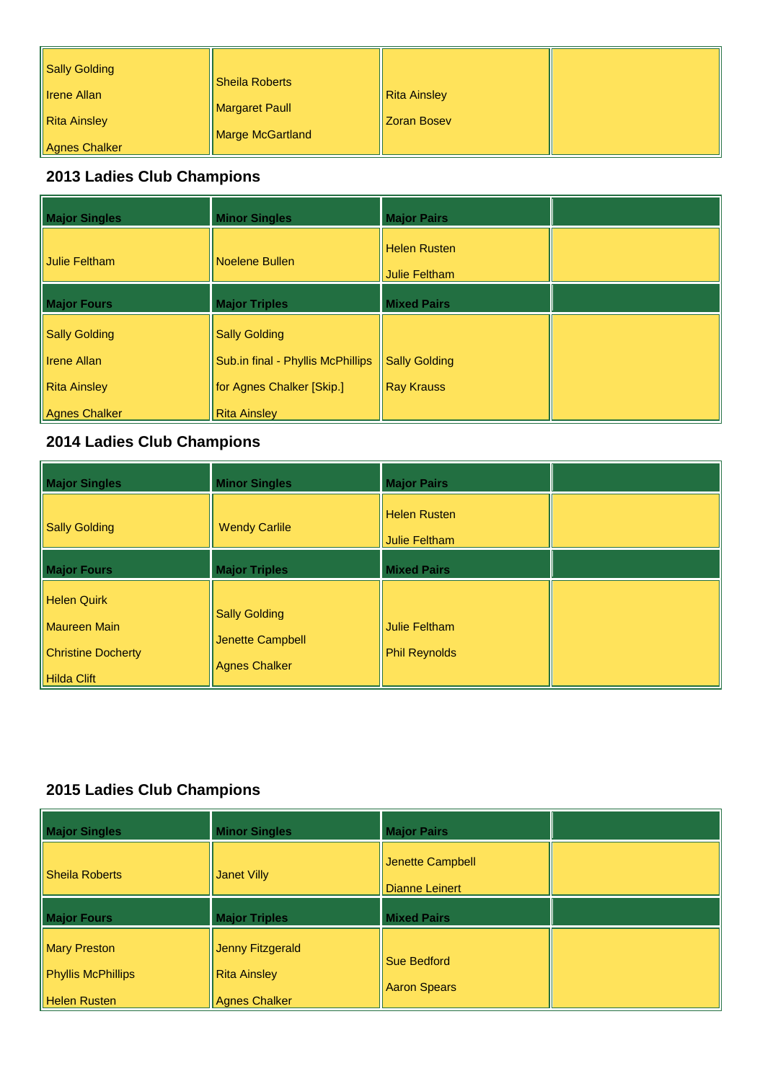| <b>Major Singles</b> | <b>Minor Singles</b>              | <b>Major Pairs</b>                          |  |
|----------------------|-----------------------------------|---------------------------------------------|--|
| <b>Julie Feltham</b> | Noelene Bullen                    | <b>Helen Rusten</b><br><b>Julie Feltham</b> |  |
| <b>Major Fours</b>   | <b>Major Triples</b>              | <b>Mixed Pairs</b>                          |  |
| <b>Sally Golding</b> | <b>Sally Golding</b>              |                                             |  |
| <b>Irene Allan</b>   | Sub.in final - Phyllis McPhillips | <b>Sally Golding</b>                        |  |
| <b>Rita Ainsley</b>  | for Agnes Chalker [Skip.]         | <b>Ray Krauss</b>                           |  |
| <b>Agnes Chalker</b> | <b>Rita Ainsley</b>               |                                             |  |

## **2014 Ladies Club Champions**

| <b>Major Singles</b>                                                                  | <b>Minor Singles</b>                                             | <b>Major Pairs</b>                           |  |
|---------------------------------------------------------------------------------------|------------------------------------------------------------------|----------------------------------------------|--|
| <b>Sally Golding</b>                                                                  | <b>Wendy Carlile</b>                                             | <b>Helen Rusten</b><br><b>Julie Feltham</b>  |  |
| <b>Major Fours</b>                                                                    | <b>Major Triples</b>                                             | <b>Mixed Pairs</b>                           |  |
| <b>Helen Quirk</b><br>Maureen Main<br><b>Christine Docherty</b><br><b>Hilda Clift</b> | <b>Sally Golding</b><br>Jenette Campbell<br><b>Agnes Chalker</b> | <b>Julie Feltham</b><br><b>Phil Reynolds</b> |  |

| <b>Major Singles</b>                                                    | <b>Minor Singles</b>                                            | <b>Major Pairs</b>                        |  |
|-------------------------------------------------------------------------|-----------------------------------------------------------------|-------------------------------------------|--|
| <b>Sheila Roberts</b>                                                   | <b>Janet Villy</b>                                              | Jenette Campbell<br><b>Dianne Leinert</b> |  |
| <b>Major Fours</b>                                                      | <b>Major Triples</b>                                            | <b>Mixed Pairs</b>                        |  |
| <b>Mary Preston</b><br><b>Phyllis McPhillips</b><br><b>Helen Rusten</b> | Jenny Fitzgerald<br><b>Rita Ainsley</b><br><b>Agnes Chalker</b> | <b>Sue Bedford</b><br><b>Aaron Spears</b> |  |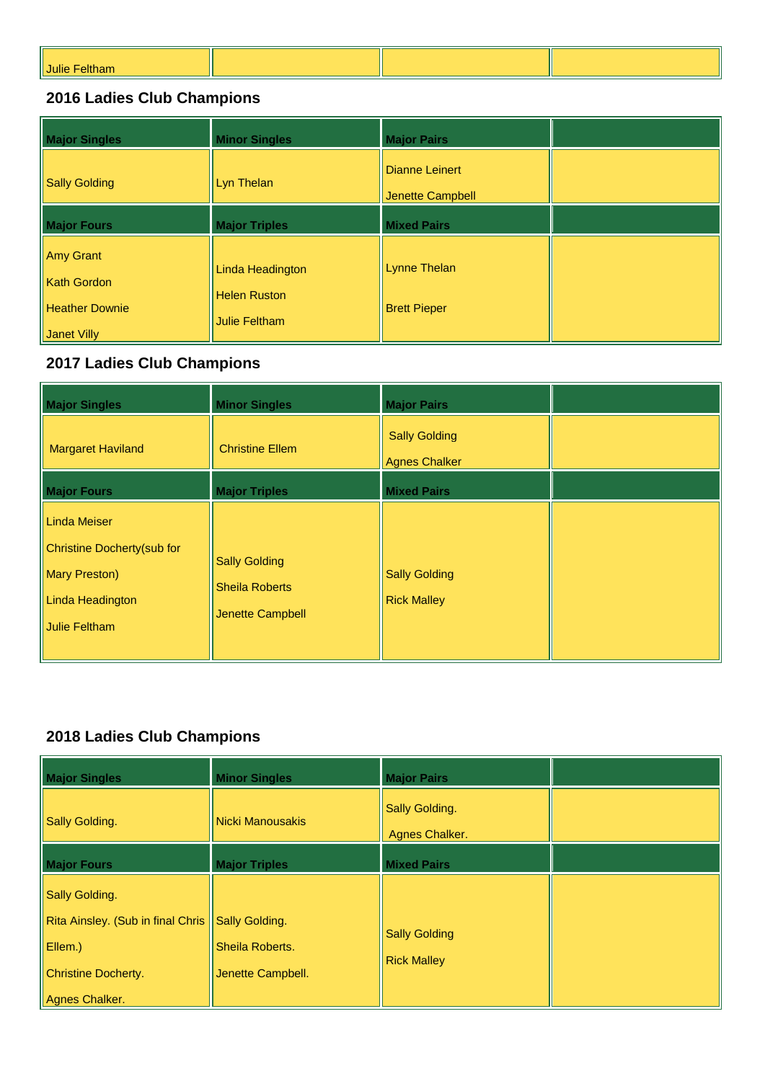| Julie |  |  |
|-------|--|--|
|       |  |  |

| <b>Major Singles</b>                                                           | <b>Minor Singles</b>                                            | <b>Major Pairs</b>                         |  |
|--------------------------------------------------------------------------------|-----------------------------------------------------------------|--------------------------------------------|--|
| <b>Sally Golding</b>                                                           | Lyn Thelan                                                      | Dianne Leinert<br><b>Jenette Campbell</b>  |  |
| <b>Major Fours</b>                                                             | <b>Major Triples</b>                                            | <b>Mixed Pairs</b>                         |  |
| <b>Amy Grant</b><br><b>Kath Gordon</b><br><b>Heather Downie</b><br>Janet Villy | Linda Headington<br><b>Helen Ruston</b><br><b>Julie Feltham</b> | <b>Lynne Thelan</b><br><b>Brett Pieper</b> |  |

# **2017 Ladies Club Champions**

| <b>Major Singles</b>                                                                                     | <b>Minor Singles</b>                                              | <b>Major Pairs</b>                         |  |
|----------------------------------------------------------------------------------------------------------|-------------------------------------------------------------------|--------------------------------------------|--|
| <b>Margaret Haviland</b>                                                                                 | <b>Christine Ellem</b>                                            | <b>Sally Golding</b><br>Agnes Chalker      |  |
| <b>Major Fours</b>                                                                                       | <b>Major Triples</b>                                              | <b>Mixed Pairs</b>                         |  |
| Linda Meiser<br>Christine Docherty(sub for<br><b>Mary Preston</b> )<br>Linda Headington<br>Julie Feltham | <b>Sally Golding</b><br><b>Sheila Roberts</b><br>Jenette Campbell | <b>Sally Golding</b><br><b>Rick Malley</b> |  |

| <b>Major Singles</b>              | <b>Minor Singles</b>    | <b>Major Pairs</b>                         |  |
|-----------------------------------|-------------------------|--------------------------------------------|--|
| Sally Golding.                    | <b>Nicki Manousakis</b> | Sally Golding.<br>Agnes Chalker.           |  |
| <b>Major Fours</b>                | <b>Major Triples</b>    | <b>Mixed Pairs</b>                         |  |
| <b>Sally Golding.</b>             |                         |                                            |  |
| Rita Ainsley. (Sub in final Chris | Sally Golding.          |                                            |  |
| Ellem.)                           | <b>Sheila Roberts.</b>  | <b>Sally Golding</b><br><b>Rick Malley</b> |  |
| <b>Christine Docherty.</b>        | Jenette Campbell.       |                                            |  |
| Agnes Chalker.                    |                         |                                            |  |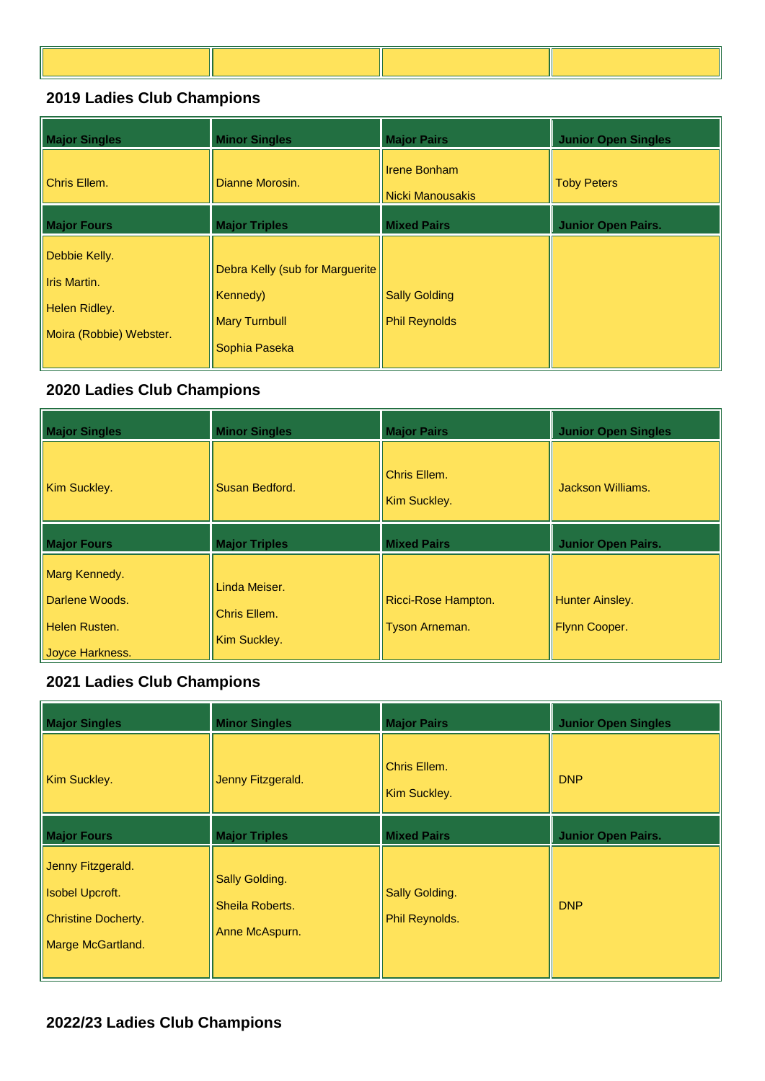| <b>Major Singles</b>                                                      | <b>Minor Singles</b>                                                                 | <b>Major Pairs</b>                           | <b>Junior Open Singles</b> |
|---------------------------------------------------------------------------|--------------------------------------------------------------------------------------|----------------------------------------------|----------------------------|
| Chris Ellem.                                                              | Dianne Morosin.                                                                      | <b>Irene Bonham</b><br>l Nicki Manousakis    | <b>Toby Peters</b>         |
| <b>Major Fours</b>                                                        | <b>Major Triples</b>                                                                 | <b>Mixed Pairs</b>                           | <b>Junior Open Pairs.</b>  |
| Debbie Kelly.<br>Iris Martin.<br>Helen Ridley.<br>Moira (Robbie) Webster. | Debra Kelly (sub for Marguerite<br>Kennedy)<br><b>Mary Turnbull</b><br>Sophia Paseka | <b>Sally Golding</b><br><b>Phil Reynolds</b> |                            |

# **2020 Ladies Club Champions**

| <b>Major Singles</b>                                                | <b>Minor Singles</b>                          | <b>Major Pairs</b>                    | <b>Junior Open Singles</b>              |
|---------------------------------------------------------------------|-----------------------------------------------|---------------------------------------|-----------------------------------------|
| Kim Suckley.                                                        | Susan Bedford.                                | Chris Ellem.<br>Kim Suckley.          | Jackson Williams.                       |
| <b>Major Fours</b>                                                  | <b>Major Triples</b>                          | <b>Mixed Pairs</b>                    | <b>Junior Open Pairs.</b>               |
| Marg Kennedy.<br>Darlene Woods.<br>Helen Rusten.<br>Joyce Harkness. | Linda Meiser.<br>Chris Ellem.<br>Kim Suckley. | Ricci-Rose Hampton.<br>Tyson Arneman. | <b>Hunter Ainsley.</b><br>Flynn Cooper. |

| <b>Major Singles</b>                                                                           | <b>Minor Singles</b>                                | <b>Major Pairs</b>                      | <b>Junior Open Singles</b> |
|------------------------------------------------------------------------------------------------|-----------------------------------------------------|-----------------------------------------|----------------------------|
| Kim Suckley.                                                                                   | Jenny Fitzgerald.                                   | Chris Ellem.<br>Kim Suckley.            | <b>DNP</b>                 |
| <b>Major Fours</b>                                                                             | <b>Major Triples</b>                                | <b>Mixed Pairs</b>                      | <b>Junior Open Pairs.</b>  |
| Jenny Fitzgerald.<br><b>Isobel Upcroft.</b><br><b>Christine Docherty.</b><br>Marge McGartland. | Sally Golding.<br>Sheila Roberts.<br>Anne McAspurn. | <b>Sally Golding.</b><br>Phil Reynolds. | <b>DNP</b>                 |